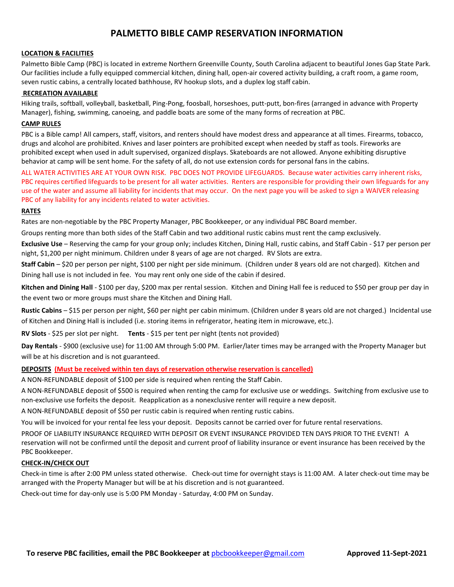# **PALMETTO BIBLE CAMP RESERVATION INFORMATION**

### **LOCATION & FACILITIES**

Palmetto Bible Camp (PBC) is located in extreme Northern Greenville County, South Carolina adjacent to beautiful Jones Gap State Park. Our facilities include a fully equipped commercial kitchen, dining hall, open-air covered activity building, a craft room, a game room, seven rustic cabins, a centrally located bathhouse, RV hookup slots, and a duplex log staff cabin.

#### **RECREATION AVAILABLE**

Hiking trails, softball, volleyball, basketball, Ping-Pong, foosball, horseshoes, putt-putt, bon-fires (arranged in advance with Property Manager), fishing, swimming, canoeing, and paddle boats are some of the many forms of recreation at PBC.

### **CAMP RULES**

PBC is a Bible camp! All campers, staff, visitors, and renters should have modest dress and appearance at all times. Firearms, tobacco, drugs and alcohol are prohibited. Knives and laser pointers are prohibited except when needed by staff as tools. Fireworks are prohibited except when used in adult supervised, organized displays. Skateboards are not allowed. Anyone exhibiting disruptive behavior at camp will be sent home. For the safety of all, do not use extension cords for personal fans in the cabins.

ALL WATER ACTIVITIES ARE AT YOUR OWN RISK. PBC DOES NOT PROVIDE LIFEGUARDS. Because water activities carry inherent risks, PBC requires certified lifeguards to be present for all water activities. Renters are responsible for providing their own lifeguards for any use of the water and assume all liability for incidents that may occur. On the next page you will be asked to sign a WAIVER releasing PBC of any liability for any incidents related to water activities.

#### **RATES**

Rates are non-negotiable by the PBC Property Manager, PBC Bookkeeper, or any individual PBC Board member.

Groups renting more than both sides of the Staff Cabin and two additional rustic cabins must rent the camp exclusively.

**Exclusive Use** – Reserving the camp for your group only; includes Kitchen, Dining Hall, rustic cabins, and Staff Cabin - \$17 per person per night, \$1,200 per night minimum. Children under 8 years of age are not charged. RV Slots are extra.

**Staff Cabin** – \$20 per person per night, \$100 per night per side minimum. (Children under 8 years old are not charged). Kitchen and Dining hall use is not included in fee. You may rent only one side of the cabin if desired.

**Kitchen and Dining Hall** - \$100 per day, \$200 max per rental session. Kitchen and Dining Hall fee is reduced to \$50 per group per day in the event two or more groups must share the Kitchen and Dining Hall.

**Rustic Cabins** – \$15 per person per night, \$60 per night per cabin minimum. (Children under 8 years old are not charged.) Incidental use of Kitchen and Dining Hall is included (i.e. storing items in refrigerator, heating item in microwave, etc.).

**RV Slots** - \$25 per slot per night. **Tents** - \$15 per tent per night (tents not provided)

**Day Rentals** - \$900 (exclusive use) for 11:00 AM through 5:00 PM. Earlier/later times may be arranged with the Property Manager but will be at his discretion and is not guaranteed.

## **DEPOSITS (Must be received within ten days of reservation otherwise reservation is cancelled)**

A NON-REFUNDABLE deposit of \$100 per side is required when renting the Staff Cabin.

A NON-REFUNDABLE deposit of \$500 is required when renting the camp for exclusive use or weddings. Switching from exclusive use to non-exclusive use forfeits the deposit. Reapplication as a nonexclusive renter will require a new deposit.

A NON-REFUNDABLE deposit of \$50 per rustic cabin is required when renting rustic cabins.

You will be invoiced for your rental fee less your deposit. Deposits cannot be carried over for future rental reservations.

PROOF OF LIABILITY INSURANCE REQUIRED WITH DEPOSIT OR EVENT INSURANCE PROVIDED TEN DAYS PRIOR TO THE EVENT! A reservation will not be confirmed until the deposit and current proof of liability insurance or event insurance has been received by the PBC Bookkeeper.

## **CHECK-IN/CHECK OUT**

Check-in time is after 2:00 PM unless stated otherwise. Check-out time for overnight stays is 11:00 AM. A later check-out time may be arranged with the Property Manager but will be at his discretion and is not guaranteed.

Check-out time for day-only use is 5:00 PM Monday - Saturday, 4:00 PM on Sunday.